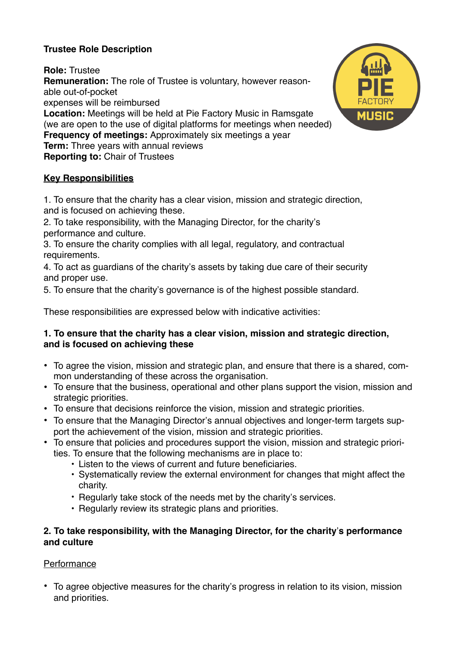# **Trustee Role Description**

**Role:** Trustee **Remuneration:** The role of Trustee is voluntary, however reasonable out-of-pocket expenses will be reimbursed **Location:** Meetings will be held at Pie Factory Music in Ramsgate (we are open to the use of digital platforms for meetings when needed) **Frequency of meetings:** Approximately six meetings a year **Term:** Three years with annual reviews **Reporting to:** Chair of Trustees

# **Key Responsibilities**

1. To ensure that the charity has a clear vision, mission and strategic direction, and is focused on achieving these.

2. To take responsibility, with the Managing Director, for the charity's performance and culture.

3. To ensure the charity complies with all legal, regulatory, and contractual requirements.

4. To act as guardians of the charity's assets by taking due care of their security and proper use.

5. To ensure that the charity's governance is of the highest possible standard.

These responsibilities are expressed below with indicative activities:

#### **1. To ensure that the charity has a clear vision, mission and strategic direction, and is focused on achieving these**

- To agree the vision, mission and strategic plan, and ensure that there is a shared, common understanding of these across the organisation.
- To ensure that the business, operational and other plans support the vision, mission and strategic priorities.
- To ensure that decisions reinforce the vision, mission and strategic priorities.
- To ensure that the Managing Director's annual objectives and longer-term targets support the achievement of the vision, mission and strategic priorities.
- To ensure that policies and procedures support the vision, mission and strategic priorities. To ensure that the following mechanisms are in place to:
	- Listen to the views of current and future beneficiaries.
	- Systematically review the external environment for changes that might affect the charity.
	- Regularly take stock of the needs met by the charity's services.
	- Regularly review its strategic plans and priorities.

#### **2. To take responsibility, with the Managing Director, for the charity**'**s performance and culture**

## **Performance**

• To agree objective measures for the charity's progress in relation to its vision, mission and priorities.

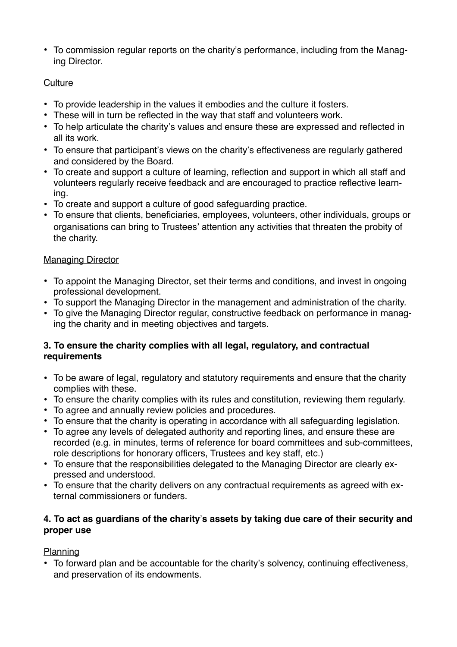• To commission regular reports on the charity's performance, including from the Managing Director.

### **Culture**

- To provide leadership in the values it embodies and the culture it fosters.
- These will in turn be reflected in the way that staff and volunteers work.
- To help articulate the charity's values and ensure these are expressed and reflected in all its work.
- To ensure that participant's views on the charity's effectiveness are regularly gathered and considered by the Board.
- To create and support a culture of learning, reflection and support in which all staff and volunteers regularly receive feedback and are encouraged to practice reflective learning.
- To create and support a culture of good safeguarding practice.
- To ensure that clients, beneficiaries, employees, volunteers, other individuals, groups or organisations can bring to Trustees' attention any activities that threaten the probity of the charity.

### **Managing Director**

- To appoint the Managing Director, set their terms and conditions, and invest in ongoing professional development.
- To support the Managing Director in the management and administration of the charity.
- To give the Managing Director regular, constructive feedback on performance in managing the charity and in meeting objectives and targets.

#### **3. To ensure the charity complies with all legal, regulatory, and contractual requirements**

- To be aware of legal, regulatory and statutory requirements and ensure that the charity complies with these.
- To ensure the charity complies with its rules and constitution, reviewing them regularly.
- To agree and annually review policies and procedures.
- To ensure that the charity is operating in accordance with all safeguarding legislation.
- To agree any levels of delegated authority and reporting lines, and ensure these are recorded (e.g. in minutes, terms of reference for board committees and sub-committees, role descriptions for honorary officers, Trustees and key staff, etc.)
- To ensure that the responsibilities delegated to the Managing Director are clearly expressed and understood.
- To ensure that the charity delivers on any contractual requirements as agreed with external commissioners or funders.

## **4. To act as guardians of the charity**'**s assets by taking due care of their security and proper use**

## Planning

• To forward plan and be accountable for the charity's solvency, continuing effectiveness, and preservation of its endowments.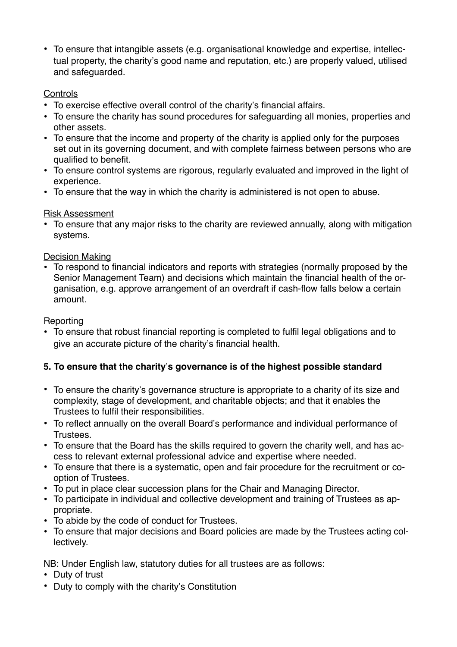• To ensure that intangible assets (e.g. organisational knowledge and expertise, intellectual property, the charity's good name and reputation, etc.) are properly valued, utilised and safeguarded.

### **Controls**

- To exercise effective overall control of the charity's financial affairs.
- To ensure the charity has sound procedures for safeguarding all monies, properties and other assets.
- To ensure that the income and property of the charity is applied only for the purposes set out in its governing document, and with complete fairness between persons who are qualified to benefit.
- To ensure control systems are rigorous, regularly evaluated and improved in the light of experience.
- To ensure that the way in which the charity is administered is not open to abuse.

Risk Assessment

• To ensure that any major risks to the charity are reviewed annually, along with mitigation systems.

### Decision Making

• To respond to financial indicators and reports with strategies (normally proposed by the Senior Management Team) and decisions which maintain the financial health of the organisation, e.g. approve arrangement of an overdraft if cash-flow falls below a certain amount.

### Reporting

• To ensure that robust financial reporting is completed to fulfil legal obligations and to give an accurate picture of the charity's financial health.

## **5. To ensure that the charity**'**s governance is of the highest possible standard**

- To ensure the charity's governance structure is appropriate to a charity of its size and complexity, stage of development, and charitable objects; and that it enables the Trustees to fulfil their responsibilities.
- To reflect annually on the overall Board's performance and individual performance of Trustees.
- To ensure that the Board has the skills required to govern the charity well, and has access to relevant external professional advice and expertise where needed.
- To ensure that there is a systematic, open and fair procedure for the recruitment or cooption of Trustees.
- To put in place clear succession plans for the Chair and Managing Director.
- To participate in individual and collective development and training of Trustees as appropriate.
- To abide by the code of conduct for Trustees.
- To ensure that major decisions and Board policies are made by the Trustees acting collectively.

NB: Under English law, statutory duties for all trustees are as follows:

- Duty of trust
- Duty to comply with the charity's Constitution